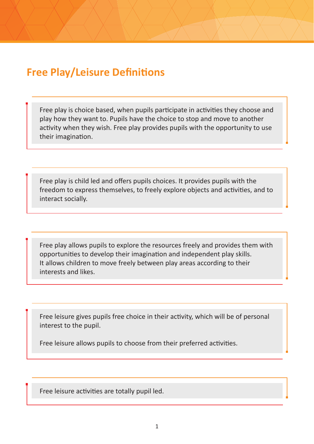## **Free Play/Leisure Definitions**

Free play is choice based, when pupils participate in activities they choose and play how they want to. Pupils have the choice to stop and move to another activity when they wish. Free play provides pupils with the opportunity to use their imagination.

Free play is child led and offers pupils choices. It provides pupils with the freedom to express themselves, to freely explore objects and activities, and to interact socially.

Free play allows pupils to explore the resources freely and provides them with opportunities to develop their imagination and independent play skills. It allows children to move freely between play areas according to their interests and likes.

Free leisure gives pupils free choice in their activity, which will be of personal interest to the pupil.

Free leisure allows pupils to choose from their preferred activities.

Free leisure activities are totally pupil led.